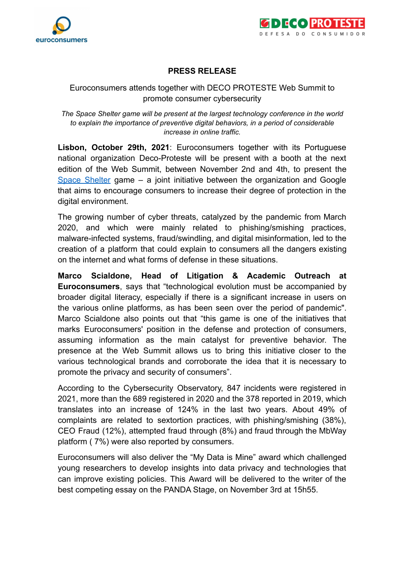



## **PRESS RELEASE**

## Euroconsumers attends together with DECO PROTESTE Web Summit to promote consumer cybersecurity

*The Space Shelter game will be present at the largest technology conference in the world to explain the importance of preventive digital behaviors, in a period of considerable increase in online traffic.*

**Lisbon, October 29th, 2021**: Euroconsumers together with its Portuguese national organization Deco-Proteste will be present with a booth at the next edition of the Web Summit, between November 2nd and 4th, to present the Space [Shelter](https://spacesheltergame.withgoogle.com/) game – a joint initiative between the organization and Google that aims to encourage consumers to increase their degree of protection in the digital environment.

The growing number of cyber threats, catalyzed by the pandemic from March 2020, and which were mainly related to phishing/smishing practices, malware-infected systems, fraud/swindling, and digital misinformation, led to the creation of a platform that could explain to consumers all the dangers existing on the internet and what forms of defense in these situations.

**Marco Scialdone, Head of Litigation & Academic Outreach at Euroconsumers**, says that "technological evolution must be accompanied by broader digital literacy, especially if there is a significant increase in users on the various online platforms, as has been seen over the period of pandemic". Marco Scialdone also points out that "this game is one of the initiatives that marks Euroconsumers' position in the defense and protection of consumers, assuming information as the main catalyst for preventive behavior. The presence at the Web Summit allows us to bring this initiative closer to the various technological brands and corroborate the idea that it is necessary to promote the privacy and security of consumers".

According to the Cybersecurity Observatory, 847 incidents were registered in 2021, more than the 689 registered in 2020 and the 378 reported in 2019, which translates into an increase of 124% in the last two years. About 49% of complaints are related to sextortion practices, with phishing/smishing (38%), CEO Fraud (12%), attempted fraud through (8%) and fraud through the MbWay platform ( 7%) were also reported by consumers.

Euroconsumers will also deliver the "My Data is Mine" award which challenged young researchers to develop insights into data privacy and technologies that can improve existing policies. This Award will be delivered to the writer of the best competing essay on the PANDA Stage, on November 3rd at 15h55.